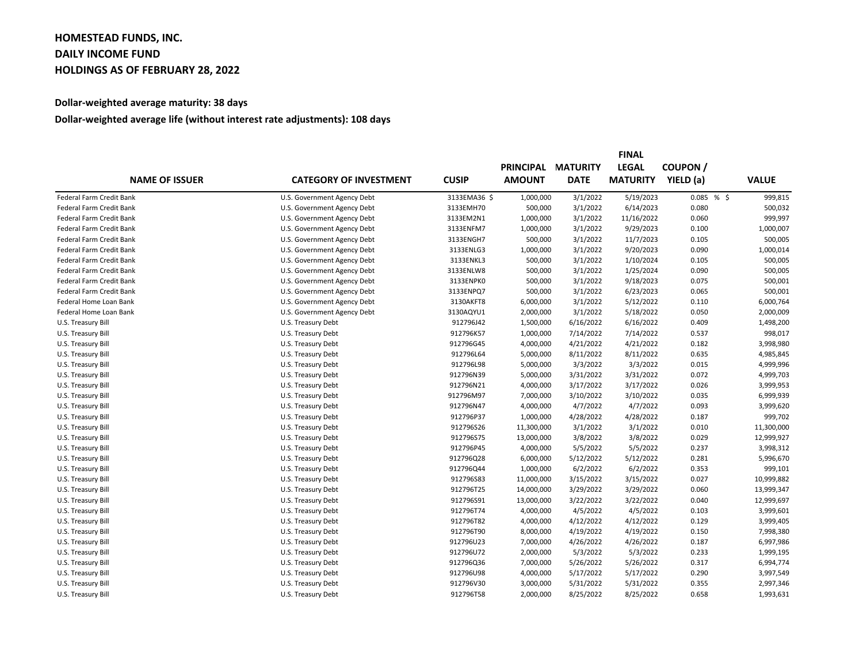## **HOMESTEAD FUNDS, INC. DAILY INCOME FUND HOLDINGS AS OF FEBRUARY 28, 2022**

## **Dollar-weighted average maturity: 38 days**

## **Dollar-weighted average life (without interest rate adjustments): 108 days**

|                          | <b>CATEGORY OF INVESTMENT</b> |              | <b>FINAL</b>     |                 |                 |               |              |  |
|--------------------------|-------------------------------|--------------|------------------|-----------------|-----------------|---------------|--------------|--|
| <b>NAME OF ISSUER</b>    |                               | <b>CUSIP</b> | <b>PRINCIPAL</b> | <b>MATURITY</b> | <b>LEGAL</b>    | <b>COUPON</b> |              |  |
|                          |                               |              | <b>AMOUNT</b>    | <b>DATE</b>     | <b>MATURITY</b> | YIELD (a)     | <b>VALUE</b> |  |
| Federal Farm Credit Bank | U.S. Government Agency Debt   | 3133EMA36 \$ | 1,000,000        | 3/1/2022        | 5/19/2023       | 0.085%        | 999,815      |  |
| Federal Farm Credit Bank | U.S. Government Agency Debt   | 3133EMH70    | 500,000          | 3/1/2022        | 6/14/2023       | 0.080         | 500,032      |  |
| Federal Farm Credit Bank | U.S. Government Agency Debt   | 3133EM2N1    | 1,000,000        | 3/1/2022        | 11/16/2022      | 0.060         | 999,997      |  |
| Federal Farm Credit Bank | U.S. Government Agency Debt   | 3133ENFM7    | 1,000,000        | 3/1/2022        | 9/29/2023       | 0.100         | 1,000,007    |  |
| Federal Farm Credit Bank | U.S. Government Agency Debt   | 3133ENGH7    | 500,000          | 3/1/2022        | 11/7/2023       | 0.105         | 500,005      |  |
| Federal Farm Credit Bank | U.S. Government Agency Debt   | 3133ENLG3    | 1,000,000        | 3/1/2022        | 9/20/2023       | 0.090         | 1,000,014    |  |
| Federal Farm Credit Bank | U.S. Government Agency Debt   | 3133ENKL3    | 500,000          | 3/1/2022        | 1/10/2024       | 0.105         | 500,005      |  |
| Federal Farm Credit Bank | U.S. Government Agency Debt   | 3133ENLW8    | 500,000          | 3/1/2022        | 1/25/2024       | 0.090         | 500,005      |  |
| Federal Farm Credit Bank | U.S. Government Agency Debt   | 3133ENPK0    | 500,000          | 3/1/2022        | 9/18/2023       | 0.075         | 500,001      |  |
| Federal Farm Credit Bank | U.S. Government Agency Debt   | 3133ENPQ7    | 500,000          | 3/1/2022        | 6/23/2023       | 0.065         | 500,001      |  |
| Federal Home Loan Bank   | U.S. Government Agency Debt   | 3130AKFT8    | 6,000,000        | 3/1/2022        | 5/12/2022       | 0.110         | 6,000,764    |  |
| Federal Home Loan Bank   | U.S. Government Agency Debt   | 3130AQYU1    | 2,000,000        | 3/1/2022        | 5/18/2022       | 0.050         | 2,000,009    |  |
| U.S. Treasury Bill       | U.S. Treasury Debt            | 912796J42    | 1,500,000        | 6/16/2022       | 6/16/2022       | 0.409         | 1,498,200    |  |
| U.S. Treasury Bill       | U.S. Treasury Debt            | 912796K57    | 1,000,000        | 7/14/2022       | 7/14/2022       | 0.537         | 998,017      |  |
| U.S. Treasury Bill       | U.S. Treasury Debt            | 912796G45    | 4,000,000        | 4/21/2022       | 4/21/2022       | 0.182         | 3,998,980    |  |
| U.S. Treasury Bill       | U.S. Treasury Debt            | 912796L64    | 5,000,000        | 8/11/2022       | 8/11/2022       | 0.635         | 4,985,845    |  |
| U.S. Treasury Bill       | U.S. Treasury Debt            | 912796L98    | 5,000,000        | 3/3/2022        | 3/3/2022        | 0.015         | 4,999,996    |  |
| U.S. Treasury Bill       | U.S. Treasury Debt            | 912796N39    | 5,000,000        | 3/31/2022       | 3/31/2022       | 0.072         | 4,999,703    |  |
| U.S. Treasury Bill       | U.S. Treasury Debt            | 912796N21    | 4,000,000        | 3/17/2022       | 3/17/2022       | 0.026         | 3,999,953    |  |
| U.S. Treasury Bill       | U.S. Treasury Debt            | 912796M97    | 7,000,000        | 3/10/2022       | 3/10/2022       | 0.035         | 6,999,939    |  |
| U.S. Treasury Bill       | U.S. Treasury Debt            | 912796N47    | 4,000,000        | 4/7/2022        | 4/7/2022        | 0.093         | 3,999,620    |  |
| U.S. Treasury Bill       | U.S. Treasury Debt            | 912796P37    | 1,000,000        | 4/28/2022       | 4/28/2022       | 0.187         | 999,702      |  |
| U.S. Treasury Bill       | U.S. Treasury Debt            | 912796S26    | 11,300,000       | 3/1/2022        | 3/1/2022        | 0.010         | 11,300,000   |  |
| U.S. Treasury Bill       | U.S. Treasury Debt            | 912796S75    | 13,000,000       | 3/8/2022        | 3/8/2022        | 0.029         | 12,999,927   |  |
| U.S. Treasury Bill       | U.S. Treasury Debt            | 912796P45    | 4,000,000        | 5/5/2022        | 5/5/2022        | 0.237         | 3,998,312    |  |
| U.S. Treasury Bill       | U.S. Treasury Debt            | 912796Q28    | 6,000,000        | 5/12/2022       | 5/12/2022       | 0.281         | 5,996,670    |  |
| U.S. Treasury Bill       | U.S. Treasury Debt            | 912796Q44    | 1,000,000        | 6/2/2022        | 6/2/2022        | 0.353         | 999,101      |  |
| U.S. Treasury Bill       | U.S. Treasury Debt            | 912796S83    | 11,000,000       | 3/15/2022       | 3/15/2022       | 0.027         | 10,999,882   |  |
| U.S. Treasury Bill       | U.S. Treasury Debt            | 912796T25    | 14,000,000       | 3/29/2022       | 3/29/2022       | 0.060         | 13,999,347   |  |
| U.S. Treasury Bill       | U.S. Treasury Debt            | 912796S91    | 13,000,000       | 3/22/2022       | 3/22/2022       | 0.040         | 12,999,697   |  |
| U.S. Treasury Bill       | U.S. Treasury Debt            | 912796T74    | 4,000,000        | 4/5/2022        | 4/5/2022        | 0.103         | 3,999,601    |  |
| U.S. Treasury Bill       | U.S. Treasury Debt            | 912796T82    | 4,000,000        | 4/12/2022       | 4/12/2022       | 0.129         | 3,999,405    |  |
| U.S. Treasury Bill       | U.S. Treasury Debt            | 912796T90    | 8,000,000        | 4/19/2022       | 4/19/2022       | 0.150         | 7,998,380    |  |
| U.S. Treasury Bill       | U.S. Treasury Debt            | 912796U23    | 7,000,000        | 4/26/2022       | 4/26/2022       | 0.187         | 6,997,986    |  |
| U.S. Treasury Bill       | U.S. Treasury Debt            | 912796U72    | 2,000,000        | 5/3/2022        | 5/3/2022        | 0.233         | 1,999,195    |  |
| U.S. Treasury Bill       | U.S. Treasury Debt            | 912796Q36    | 7,000,000        | 5/26/2022       | 5/26/2022       | 0.317         | 6,994,774    |  |
| U.S. Treasury Bill       | U.S. Treasury Debt            | 912796U98    | 4,000,000        | 5/17/2022       | 5/17/2022       | 0.290         | 3,997,549    |  |
| U.S. Treasury Bill       | U.S. Treasury Debt            | 912796V30    | 3,000,000        | 5/31/2022       | 5/31/2022       | 0.355         | 2,997,346    |  |
| U.S. Treasury Bill       | U.S. Treasury Debt            | 912796T58    | 2,000,000        | 8/25/2022       | 8/25/2022       | 0.658         | 1,993,631    |  |